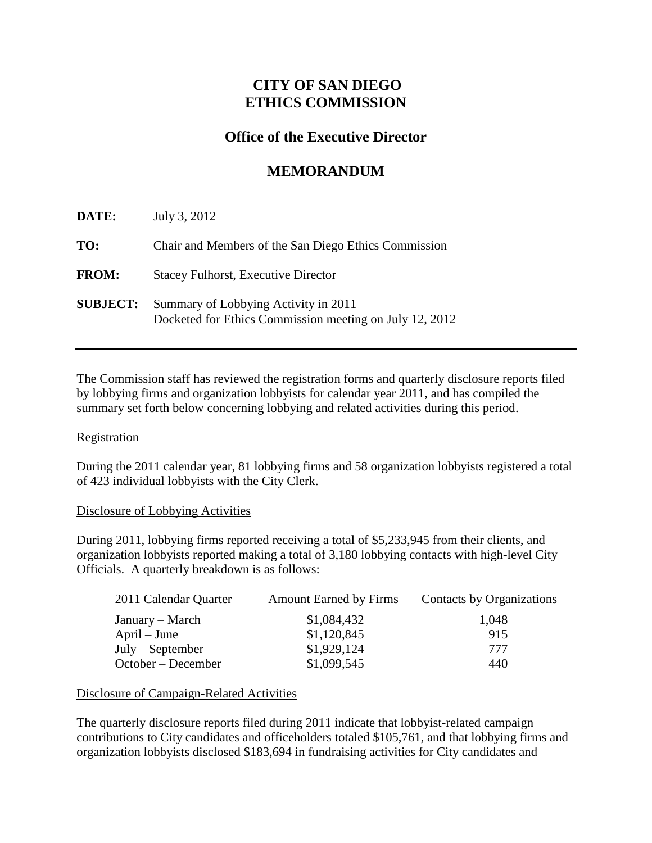# **CITY OF SAN DIEGO ETHICS COMMISSION**

## **Office of the Executive Director**

# **MEMORANDUM**

| DATE:           | July 3, 2012                                                                                    |
|-----------------|-------------------------------------------------------------------------------------------------|
| TO:             | Chair and Members of the San Diego Ethics Commission                                            |
| <b>FROM:</b>    | <b>Stacey Fulhorst, Executive Director</b>                                                      |
| <b>SUBJECT:</b> | Summary of Lobbying Activity in 2011<br>Docketed for Ethics Commission meeting on July 12, 2012 |

The Commission staff has reviewed the registration forms and quarterly disclosure reports filed by lobbying firms and organization lobbyists for calendar year 2011, and has compiled the summary set forth below concerning lobbying and related activities during this period.

### **Registration**

During the 2011 calendar year, 81 lobbying firms and 58 organization lobbyists registered a total of 423 individual lobbyists with the City Clerk.

#### Disclosure of Lobbying Activities

During 2011, lobbying firms reported receiving a total of \$5,233,945 from their clients, and organization lobbyists reported making a total of 3,180 lobbying contacts with high-level City Officials. A quarterly breakdown is as follows:

| 2011 Calendar Quarter | <b>Amount Earned by Firms</b> | Contacts by Organizations |
|-----------------------|-------------------------------|---------------------------|
| January – March       | \$1,084,432                   | 1,048                     |
| $April - June$        | \$1,120,845                   | 915                       |
| $July - September$    | \$1,929,124                   | 777                       |
| October – December    | \$1,099,545                   | 440                       |

### Disclosure of Campaign-Related Activities

The quarterly disclosure reports filed during 2011 indicate that lobbyist-related campaign contributions to City candidates and officeholders totaled \$105,761, and that lobbying firms and organization lobbyists disclosed \$183,694 in fundraising activities for City candidates and